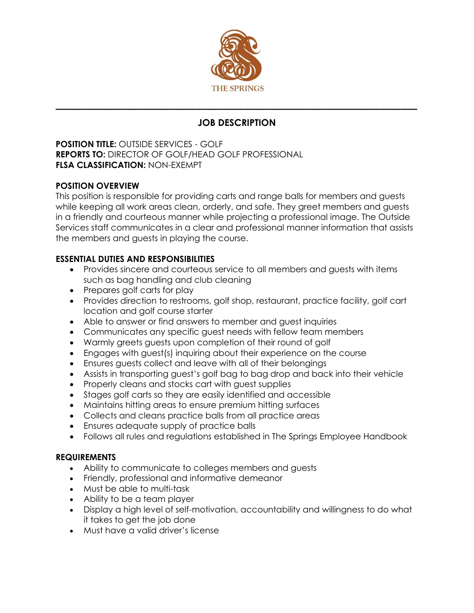

# **JOB DESCRIPTION**

**\_\_\_\_\_\_\_\_\_\_\_\_\_\_\_\_\_\_\_\_\_\_\_\_\_\_\_\_\_\_\_\_\_\_\_\_\_\_\_\_\_\_\_\_\_\_\_\_\_\_\_\_\_\_\_\_\_\_\_\_\_\_\_\_\_\_\_**

#### **POSITION TITLE:** OUTSIDE SERVICES - GOLF **REPORTS TO:** DIRECTOR OF GOLF/HEAD GOLF PROFESSIONAL **FLSA CLASSIFICATION:** NON-EXEMPT

## **POSITION OVERVIEW**

This position is responsible for providing carts and range balls for members and guests while keeping all work areas clean, orderly, and safe. They greet members and guests in a friendly and courteous manner while projecting a professional image. The Outside Services staff communicates in a clear and professional manner information that assists the members and guests in playing the course.

## **ESSENTIAL DUTIES AND RESPONSIBILITIES**

- Provides sincere and courteous service to all members and guests with items such as bag handling and club cleaning
- Prepares golf carts for play
- Provides direction to restrooms, golf shop, restaurant, practice facility, golf cart location and golf course starter
- Able to answer or find answers to member and guest inquiries
- Communicates any specific guest needs with fellow team members
- Warmly greets guests upon completion of their round of golf
- Engages with guest(s) inquiring about their experience on the course
- Ensures guests collect and leave with all of their belongings
- Assists in transporting guest's golf bag to bag drop and back into their vehicle
- Properly cleans and stocks cart with guest supplies
- Stages golf carts so they are easily identified and accessible
- Maintains hitting areas to ensure premium hitting surfaces
- Collects and cleans practice balls from all practice areas
- Ensures adequate supply of practice balls
- Follows all rules and regulations established in The Springs Employee Handbook

### **REQUIREMENTS**

- Ability to communicate to colleges members and guests
- Friendly, professional and informative demeanor
- Must be able to multi-task
- Ability to be a team player
- Display a high level of self-motivation, accountability and willingness to do what it takes to get the job done
- Must have a valid driver's license